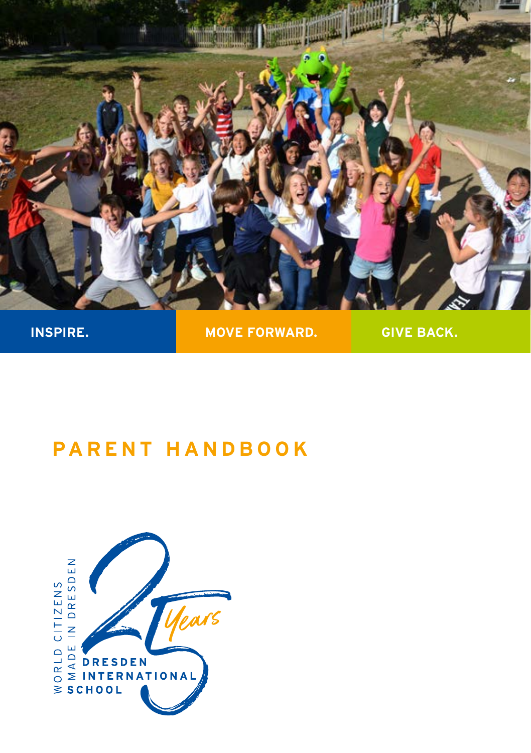

**INSPIRE.** MOVE FORWARD. GIVE BACK.

# **PARENT HANDBOOK**

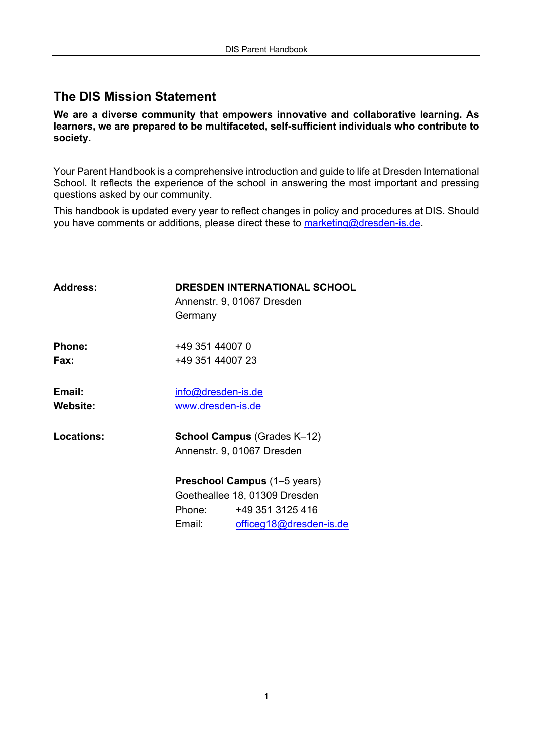### **The DIS Mission Statement**

**We are a diverse community that empowers innovative and collaborative learning. As learners, we are prepared to be multifaceted, self-sufficient individuals who contribute to society.**

Your Parent Handbook is a comprehensive introduction and guide to life at Dresden International School. It reflects the experience of the school in answering the most important and pressing questions asked by our community.

This handbook is updated every year to reflect changes in policy and procedures at DIS. Should you have comments or additions, please direct these to marketing@dresden-is.de.

| Address:                  | <b>DRESDEN INTERNATIONAL SCHOOL</b><br>Annenstr. 9, 01067 Dresden<br>Germany                                                            |  |
|---------------------------|-----------------------------------------------------------------------------------------------------------------------------------------|--|
| Phone:<br>Fax:            | +49 351 44007 0<br>+49 351 44007 23                                                                                                     |  |
| Email:<br><b>Website:</b> | info@dresden-is.de<br>www.dresden-is.de                                                                                                 |  |
| Locations:                | <b>School Campus (Grades K–12)</b><br>Annenstr. 9. 01067 Dresden                                                                        |  |
|                           | <b>Preschool Campus</b> (1–5 years)<br>Goetheallee 18, 01309 Dresden<br>+49 351 3125 416<br>Phone:<br>Email:<br>officeg18@dresden-is.de |  |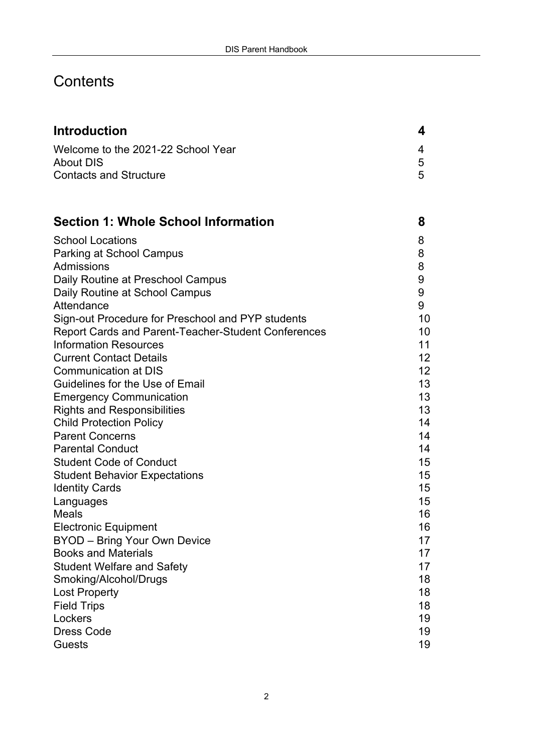# **Contents**

| <b>Introduction</b>                                                                                      | 4       |
|----------------------------------------------------------------------------------------------------------|---------|
| Welcome to the 2021-22 School Year                                                                       | 4       |
| About DIS                                                                                                | 5       |
| <b>Contacts and Structure</b>                                                                            | 5       |
|                                                                                                          |         |
| <b>Section 1: Whole School Information</b>                                                               | 8       |
| <b>School Locations</b>                                                                                  | 8       |
| Parking at School Campus                                                                                 | 8       |
| Admissions                                                                                               | 8       |
| Daily Routine at Preschool Campus                                                                        | 9       |
| Daily Routine at School Campus                                                                           | 9       |
| Attendance                                                                                               | 9<br>10 |
| Sign-out Procedure for Preschool and PYP students<br>Report Cards and Parent-Teacher-Student Conferences | 10      |
| <b>Information Resources</b>                                                                             | 11      |
| <b>Current Contact Details</b>                                                                           | 12      |
| Communication at DIS                                                                                     | 12      |
| Guidelines for the Use of Email                                                                          | 13      |
| <b>Emergency Communication</b>                                                                           | 13      |
| <b>Rights and Responsibilities</b>                                                                       | 13      |
| <b>Child Protection Policy</b>                                                                           | 14      |
| <b>Parent Concerns</b>                                                                                   | 14      |
| <b>Parental Conduct</b>                                                                                  | 14      |
| <b>Student Code of Conduct</b>                                                                           | 15      |
| <b>Student Behavior Expectations</b>                                                                     | 15      |
| <b>Identity Cards</b>                                                                                    | 15      |
| Languages                                                                                                | 15      |
| Meals                                                                                                    | 16      |
| <b>Electronic Equipment</b>                                                                              | 16      |
| BYOD - Bring Your Own Device                                                                             | 17      |
| <b>Books and Materials</b>                                                                               | 17      |
| <b>Student Welfare and Safety</b>                                                                        | 17      |
| Smoking/Alcohol/Drugs                                                                                    | 18      |
| <b>Lost Property</b>                                                                                     | 18      |
| <b>Field Trips</b>                                                                                       | 18      |
| Lockers                                                                                                  | 19      |
| <b>Dress Code</b>                                                                                        | 19      |
| Guests                                                                                                   | 19      |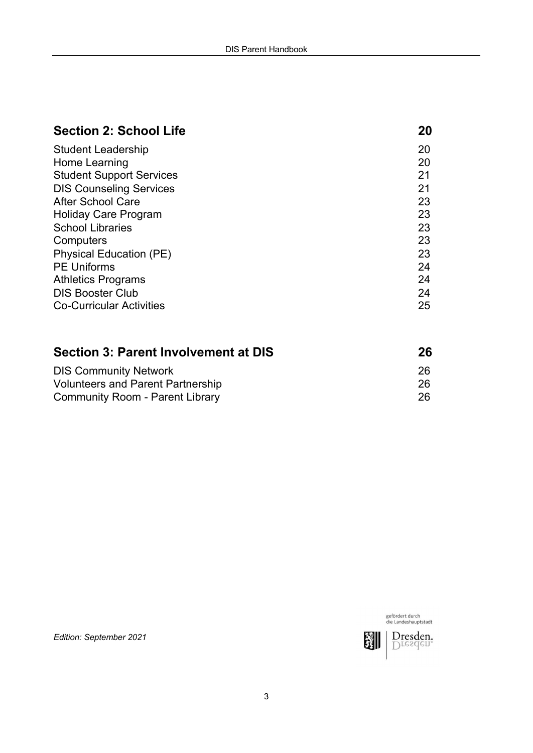| <b>Section 2: School Life</b>               | 20 |
|---------------------------------------------|----|
| Student Leadership                          | 20 |
| Home Learning                               | 20 |
| <b>Student Support Services</b>             | 21 |
| <b>DIS Counseling Services</b>              | 21 |
| After School Care                           | 23 |
| Holiday Care Program                        | 23 |
| <b>School Libraries</b>                     | 23 |
| Computers                                   | 23 |
| Physical Education (PE)                     | 23 |
| <b>PE Uniforms</b>                          | 24 |
| <b>Athletics Programs</b>                   | 24 |
| <b>DIS Booster Club</b>                     | 24 |
| <b>Co-Curricular Activities</b>             | 25 |
| <b>Section 3: Parent Involvement at DIS</b> | 26 |
| <b>DIS Community Network</b>                | 26 |
| <b>Volunteers and Parent Partnership</b>    | 26 |

Community Room - Parent Library 26

gefördert durch<br>die Landeshauptstadt Dresden: 瀏

*Edition: September 2021*

Volunteers and Parent Partnership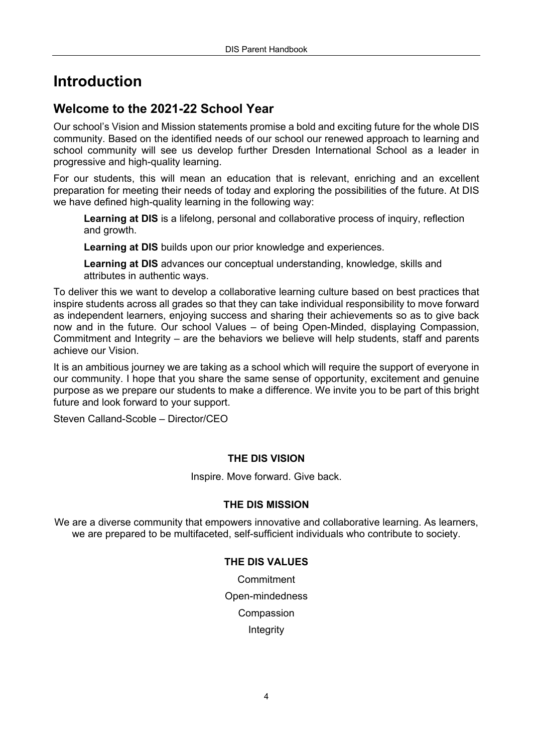# **Introduction**

#### **Welcome to the 2021-22 School Year**

Our school's Vision and Mission statements promise a bold and exciting future for the whole DIS community. Based on the identified needs of our school our renewed approach to learning and school community will see us develop further Dresden International School as a leader in progressive and high-quality learning.

For our students, this will mean an education that is relevant, enriching and an excellent preparation for meeting their needs of today and exploring the possibilities of the future. At DIS we have defined high-quality learning in the following way:

**Learning at DIS** is a lifelong, personal and collaborative process of inquiry, reflection and growth.

**Learning at DIS** builds upon our prior knowledge and experiences.

**Learning at DIS** advances our conceptual understanding, knowledge, skills and attributes in authentic ways.

To deliver this we want to develop a collaborative learning culture based on best practices that inspire students across all grades so that they can take individual responsibility to move forward as independent learners, enjoying success and sharing their achievements so as to give back now and in the future. Our school Values – of being Open-Minded, displaying Compassion, Commitment and Integrity – are the behaviors we believe will help students, staff and parents achieve our Vision.

It is an ambitious journey we are taking as a school which will require the support of everyone in our community. I hope that you share the same sense of opportunity, excitement and genuine purpose as we prepare our students to make a difference. We invite you to be part of this bright future and look forward to your support.

Steven Calland-Scoble – Director/CEO

#### **THE DIS VISION**

Inspire. Move forward. Give back.

#### **THE DIS MISSION**

We are a diverse community that empowers innovative and collaborative learning. As learners, we are prepared to be multifaceted, self-sufficient individuals who contribute to society.

#### **THE DIS VALUES**

**Commitment** Open-mindedness Compassion Integrity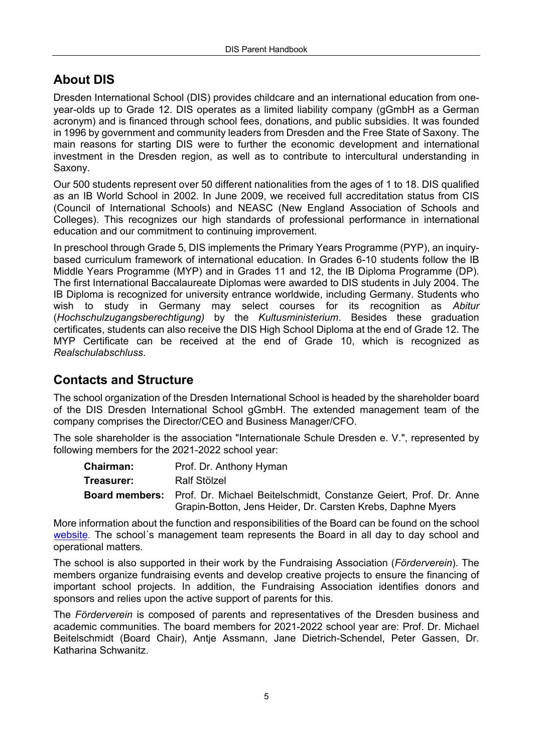# **About DIS**

Dresden International School (DIS) provides childcare and an international education from oneyear-olds up to Grade 12. DIS operates as a limited liability company (gGmbH as a German acronym) and is financed through school fees, donations, and public subsidies. It was founded in 1996 by government and community leaders from Dresden and the Free State of Saxony. The main reasons for starting DIS were to further the economic development and international investment in the Dresden region, as well as to contribute to intercultural understanding in Saxony.

Our 500 students represent over 50 different nationalities from the ages of 1 to 18. DIS qualified as an IB World School in 2002. In June 2009, we received full accreditation status from CIS (Council of International Schools) and NEASC (New England Association of Schools and Colleges). This recognizes our high standards of professional performance in international education and our commitment to continuing improvement.

In preschool through Grade 5, DIS implements the Primary Years Programme (PYP), an inquirybased curriculum framework of international education. In Grades 6-10 students follow the IB Middle Years Programme (MYP) and in Grades 11 and 12, the IB Diploma Programme (DP). The first International Baccalaureate Diplomas were awarded to DIS students in July 2004. The IB Diploma is recognized for university entrance worldwide, including Germany. Students who wish to study in Germany may select courses for its recognition as *Abitur* (*Hochschulzugangsberechtigung)* by the *Kultusministerium*. Besides these graduation certificates, students can also receive the DIS High School Diploma at the end of Grade 12. The MYP Certificate can be received at the end of Grade 10, which is recognized as *Realschulabschluss*.

### **Contacts and Structure**

The school organization of the Dresden International School is headed by the shareholder board of the DIS Dresden International School gGmbH. The extended management team of the company comprises the Director/CEO and Business Manager/CFO.

The sole shareholder is the association "Internationale Schule Dresden e. V.", represented by following members for the 2021-2022 school year:

| <b>Chairman:</b> | Prof. Dr. Anthony Hyman                                                                 |
|------------------|-----------------------------------------------------------------------------------------|
| Treasurer:       | Ralf Stölzel                                                                            |
|                  | <b>Board members:</b> Prof. Dr. Michael Beitelschmidt. Constanze Geiert. Prof. Dr. Anne |
|                  | Grapin-Botton, Jens Heider, Dr. Carsten Krebs, Daphne Myers                             |

More information about the function and responsibilities of the Board can be found on the school [website](https://www.dresden-is.de/en/discover/governance). The school´s management team represents the Board in all day to day school and operational matters.

The school is also supported in their work by the Fundraising Association (*Förderverein*). The members organize fundraising events and develop creative projects to ensure the financing of important school projects. In addition, the Fundraising Association identifies donors and sponsors and relies upon the active support of parents for this.

The *Förderverein* is composed of parents and representatives of the Dresden business and academic communities. The board members for 2021-2022 school year are: Prof. Dr. Michael Beitelschmidt (Board Chair), Antje Assmann, Jane Dietrich-Schendel, Peter Gassen, Dr. Katharina Schwanitz.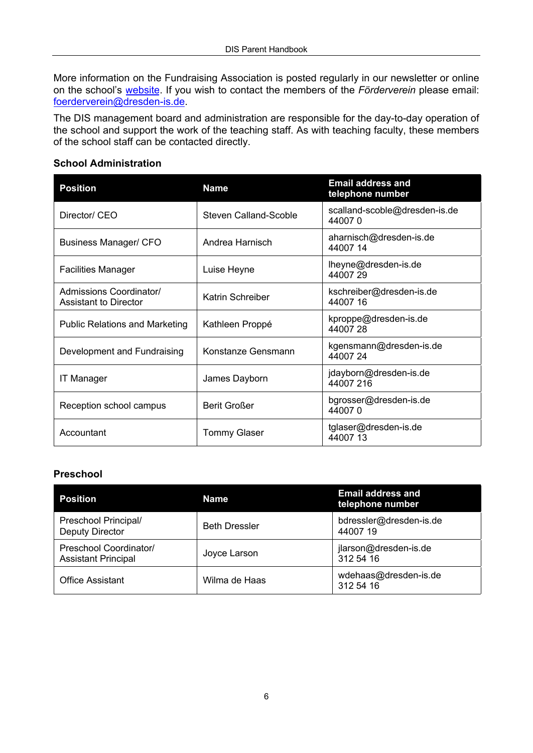More information on the Fundraising Association is posted regularly in our newsletter or online on the school's [website](https://www.dresden-is.de/en/dis-community/giving-back/foerderverein). If you wish to contact the members of the *Förderverein* please email: foerderverein@dresden-is.de.

The DIS management board and administration are responsible for the day-to-day operation of the school and support the work of the teaching staff. As with teaching faculty, these members of the school staff can be contacted directly.

#### **School Administration**

| <b>Position</b>                                         | <b>Name</b>           | <b>Email address and</b><br>telephone number |
|---------------------------------------------------------|-----------------------|----------------------------------------------|
| Director/ CEO                                           | Steven Calland-Scoble | scalland-scoble@dresden-is.de<br>440070      |
| Business Manager/ CFO                                   | Andrea Harnisch       | aharnisch@dresden-is.de<br>44007 14          |
| <b>Facilities Manager</b>                               | Luise Heyne           | lheyne@dresden-is.de<br>4400729              |
| Admissions Coordinator/<br><b>Assistant to Director</b> | Katrin Schreiber      | kschreiber@dresden-is.de<br>44007 16         |
| <b>Public Relations and Marketing</b>                   | Kathleen Proppé       | kproppe@dresden-is.de<br>4400728             |
| Development and Fundraising                             | Konstanze Gensmann    | kgensmann@dresden-is.de<br>4400724           |
| <b>IT Manager</b>                                       | James Dayborn         | jdayborn@dresden-is.de<br>44007 216          |
| Reception school campus                                 | Berit Großer          | bgrosser@dresden-is.de<br>440070             |
| Accountant                                              | Tommy Glaser          | tglaser@dresden-is.de<br>4400713             |

#### **Preschool**

| <b>Position</b>                                      | Name                 | Email address and<br>telephone number |
|------------------------------------------------------|----------------------|---------------------------------------|
| Preschool Principal/<br>Deputy Director              | <b>Beth Dressler</b> | bdressler@dresden-is.de<br>4400719    |
| Preschool Coordinator/<br><b>Assistant Principal</b> | Joyce Larson         | jlarson@dresden-is.de<br>312 54 16    |
| <b>Office Assistant</b>                              | Wilma de Haas        | wdehaas@dresden-is.de<br>312 54 16    |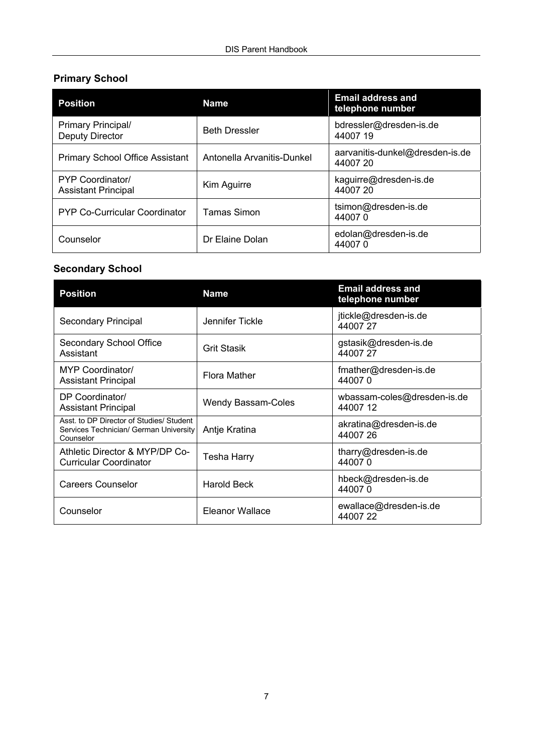#### **Primary School**

| <b>Position</b>                                       | <b>Name</b>                | <b>Email address and</b><br>telephone number |
|-------------------------------------------------------|----------------------------|----------------------------------------------|
| Primary Principal/<br>Deputy Director                 | <b>Beth Dressler</b>       | bdressler@dresden-is.de<br>44007 19          |
| <b>Primary School Office Assistant</b>                | Antonella Arvanitis-Dunkel | aarvanitis-dunkel@dresden-is.de<br>44007 20  |
| <b>PYP Coordinator/</b><br><b>Assistant Principal</b> | Kim Aguirre                | kaguirre@dresden-is.de<br>44007 20           |
| PYP Co-Curricular Coordinator                         | Tamas Simon                | tsimon@dresden-is.de<br>440070               |
| Counselor                                             | Dr Elaine Dolan            | edolan@dresden-is.de<br>440070               |

### **Secondary School**

| Position                                                                                        | <b>Name</b>        | Email address and<br>telephone number  |
|-------------------------------------------------------------------------------------------------|--------------------|----------------------------------------|
| Secondary Principal                                                                             | Jennifer Tickle    | jtickle@dresden-is.de<br>4400727       |
| Secondary School Office<br>Assistant                                                            | <b>Grit Stasik</b> | qstasik@dresden-is.de<br>44007 27      |
| <b>MYP Coordinator/</b><br><b>Assistant Principal</b>                                           | Flora Mather       | fmather@dresden-is.de<br>440070        |
| DP Coordinator/<br><b>Assistant Principal</b>                                                   | Wendy Bassam-Coles | wbassam-coles@dresden-is.de<br>4400712 |
| Asst. to DP Director of Studies/ Student<br>Services Technician/ German University<br>Counselor | Antie Kratina      | akratina@dresden-is.de<br>4400726      |
| Athletic Director & MYP/DP Co-<br><b>Curricular Coordinator</b>                                 | Tesha Harry        | tharry@dresden-is.de<br>440070         |
| Careers Counselor                                                                               | Harold Beck        | hbeck@dresden-is.de<br>440070          |
| Counselor                                                                                       | Eleanor Wallace    | ewallace@dresden-is.de<br>4400722      |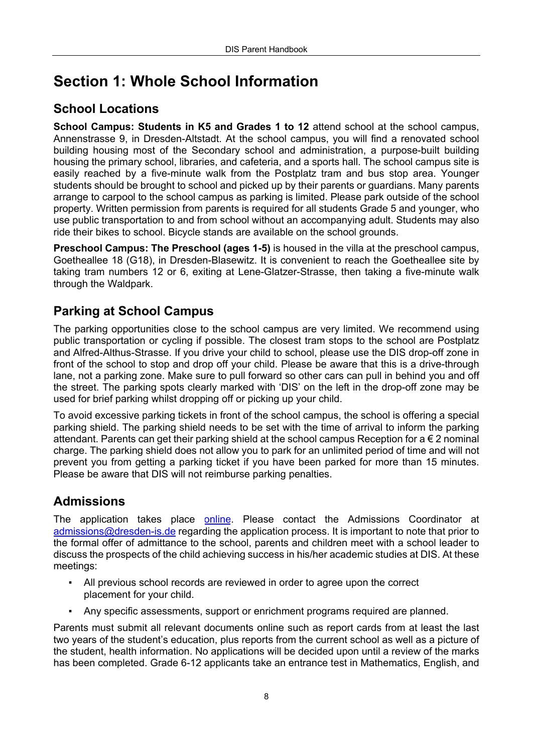# **Section 1: Whole School Information**

# **School Locations**

**School Campus: Students in K5 and Grades 1 to 12** attend school at the school campus. Annenstrasse 9, in Dresden-Altstadt. At the school campus, you will find a renovated school building housing most of the Secondary school and administration, a purpose-built building housing the primary school, libraries, and cafeteria, and a sports hall. The school campus site is easily reached by a five-minute walk from the Postplatz tram and bus stop area. Younger students should be brought to school and picked up by their parents or guardians. Many parents arrange to carpool to the school campus as parking is limited. Please park outside of the school property. Written permission from parents is required for all students Grade 5 and younger, who use public transportation to and from school without an accompanying adult. Students may also ride their bikes to school. Bicycle stands are available on the school grounds.

**Preschool Campus: The Preschool (ages 1-5)** is housed in the villa at the preschool campus, Goetheallee 18 (G18), in Dresden-Blasewitz. It is convenient to reach the Goetheallee site by taking tram numbers 12 or 6, exiting at Lene-Glatzer-Strasse, then taking a five-minute walk through the Waldpark.

# **Parking at School Campus**

The parking opportunities close to the school campus are very limited. We recommend using public transportation or cycling if possible. The closest tram stops to the school are Postplatz and Alfred-Althus-Strasse. If you drive your child to school, please use the DIS drop-off zone in front of the school to stop and drop off your child. Please be aware that this is a drive-through lane, not a parking zone. Make sure to pull forward so other cars can pull in behind you and off the street. The parking spots clearly marked with 'DIS' on the left in the drop-off zone may be used for brief parking whilst dropping off or picking up your child.

To avoid excessive parking tickets in front of the school campus, the school is offering a special parking shield. The parking shield needs to be set with the time of arrival to inform the parking attendant. Parents can get their parking shield at the school campus Reception for  $a \in \mathbb{Z}$  nominal charge. The parking shield does not allow you to park for an unlimited period of time and will not prevent you from getting a parking ticket if you have been parked for more than 15 minutes. Please be aware that DIS will not reimburse parking penalties.

### **Admissions**

The application takes place [online.](https://www.dresden-is.de/en/join/learn-at-dis/admissions) Please contact the Admissions Coordinator at admissions@dresden-is.de regarding the application process. It is important to note that prior to the formal offer of admittance to the school, parents and children meet with a school leader to discuss the prospects of the child achieving success in his/her academic studies at DIS. At these meetings:

- All previous school records are reviewed in order to agree upon the correct placement for your child.
- Any specific assessments, support or enrichment programs required are planned.

Parents must submit all relevant documents online such as report cards from at least the last two years of the student's education, plus reports from the current school as well as a picture of the student, health information. No applications will be decided upon until a review of the marks has been completed. Grade 6-12 applicants take an entrance test in Mathematics, English, and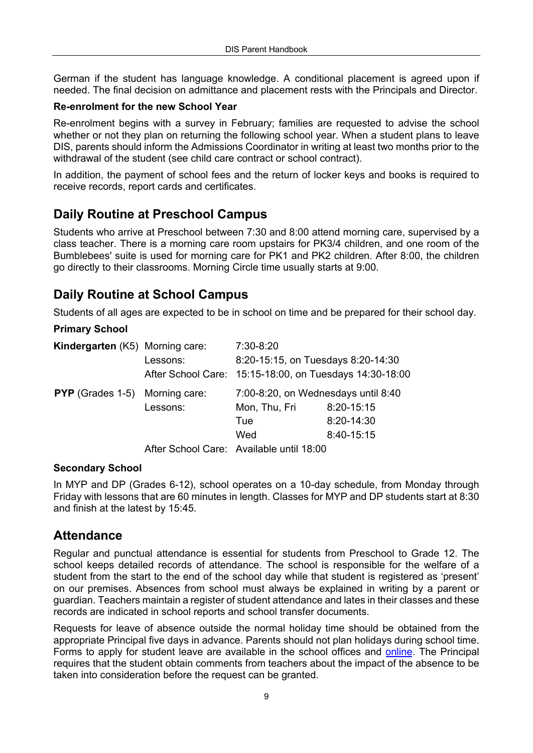German if the student has language knowledge. A conditional placement is agreed upon if needed. The final decision on admittance and placement rests with the Principals and Director.

#### **Re-enrolment for the new School Year**

Re-enrolment begins with a survey in February; families are requested to advise the school whether or not they plan on returning the following school year. When a student plans to leave DIS, parents should inform the Admissions Coordinator in writing at least two months prior to the withdrawal of the student (see child care contract or school contract).

In addition, the payment of school fees and the return of locker keys and books is required to receive records, report cards and certificates.

### **Daily Routine at Preschool Campus**

Students who arrive at Preschool between 7:30 and 8:00 attend morning care, supervised by a class teacher. There is a morning care room upstairs for PK3/4 children, and one room of the Bumblebees' suite is used for morning care for PK1 and PK2 children. After 8:00, the children go directly to their classrooms. Morning Circle time usually starts at 9:00.

### **Daily Routine at School Campus**

Students of all ages are expected to be in school on time and be prepared for their school day.

#### **Primary School**

| <b>Kindergarten</b> (K5) Morning care: |          | 7:30-8:20                                               |            |
|----------------------------------------|----------|---------------------------------------------------------|------------|
|                                        | Lessons: | 8:20-15:15, on Tuesdays 8:20-14:30                      |            |
|                                        |          | After School Care: 15:15-18:00, on Tuesdays 14:30-18:00 |            |
| <b>PYP</b> (Grades 1-5) Morning care:  |          | 7:00-8:20, on Wednesdays until 8:40                     |            |
|                                        | Lessons: | Mon, Thu, Fri                                           | 8:20-15:15 |
|                                        |          | Tue                                                     | 8:20-14:30 |
|                                        |          | Wed                                                     | 8:40-15:15 |
|                                        |          |                                                         |            |

After School Care: Available until 18:00

#### **Secondary School**

In MYP and DP (Grades 6-12), school operates on a 10-day schedule, from Monday through Friday with lessons that are 60 minutes in length. Classes for MYP and DP students start at 8:30 and finish at the latest by 15:45.

#### **Attendance**

Regular and punctual attendance is essential for students from Preschool to Grade 12. The school keeps detailed records of attendance. The school is responsible for the welfare of a student from the start to the end of the school day while that student is registered as 'present' on our premises. Absences from school must always be explained in writing by a parent or guardian. Teachers maintain a register of student attendance and lates in their classes and these records are indicated in school reports and school transfer documents.

Requests for leave of absence outside the normal holiday time should be obtained from the appropriate Principal five days in advance. Parents should not plan holidays during school time. Forms to apply for student leave are available in the school offices and [online](https://www.dresden-is.de/en/learn/primary-school). The Principal requires that the student obtain comments from teachers about the impact of the absence to be taken into consideration before the request can be granted.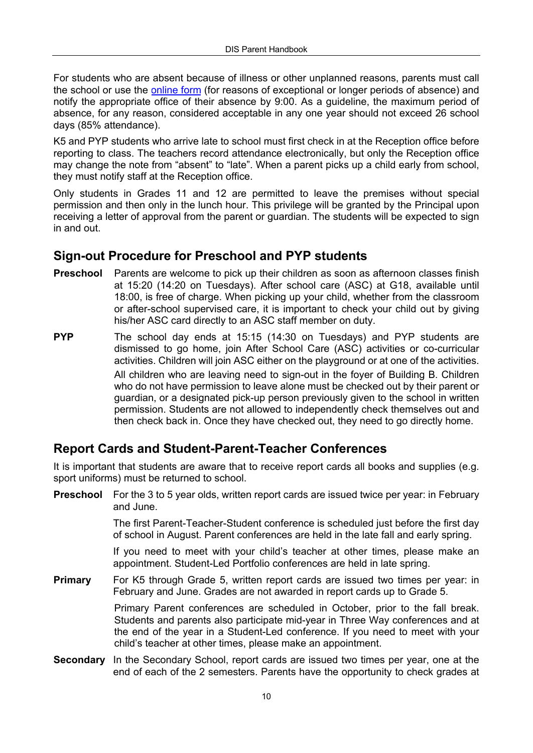For students who are absent because of illness or other unplanned reasons, parents must call the school or use the [online form](https://www.dresden-is.de/en/learn/secondary-school) (for reasons of exceptional or longer periods of absence) and notify the appropriate office of their absence by 9:00. As a guideline, the maximum period of absence, for any reason, considered acceptable in any one year should not exceed 26 school days (85% attendance).

K5 and PYP students who arrive late to school must first check in at the Reception office before reporting to class. The teachers record attendance electronically, but only the Reception office may change the note from "absent" to "late". When a parent picks up a child early from school, they must notify staff at the Reception office.

Only students in Grades 11 and 12 are permitted to leave the premises without special permission and then only in the lunch hour. This privilege will be granted by the Principal upon receiving a letter of approval from the parent or guardian. The students will be expected to sign in and out.

#### **Sign-out Procedure for Preschool and PYP students**

- **Preschool** Parents are welcome to pick up their children as soon as afternoon classes finish at 15:20 (14:20 on Tuesdays). After school care (ASC) at G18, available until 18:00, is free of charge. When picking up your child, whether from the classroom or after-school supervised care, it is important to check your child out by giving his/her ASC card directly to an ASC staff member on duty.
- **PYP** The school day ends at 15:15 (14:30 on Tuesdays) and PYP students are dismissed to go home, join After School Care (ASC) activities or co-curricular activities. Children will join ASC either on the playground or at one of the activities. All children who are leaving need to sign-out in the foyer of Building B. Children who do not have permission to leave alone must be checked out by their parent or guardian, or a designated pick-up person previously given to the school in written permission. Students are not allowed to independently check themselves out and then check back in. Once they have checked out, they need to go directly home.

### **Report Cards and Student-Parent-Teacher Conferences**

It is important that students are aware that to receive report cards all books and supplies (e.g. sport uniforms) must be returned to school.

- **Preschool** For the 3 to 5 year olds, written report cards are issued twice per year: in February and June. The first Parent-Teacher-Student conference is scheduled just before the first day of school in August. Parent conferences are held in the late fall and early spring. If you need to meet with your child's teacher at other times, please make an appointment. Student-Led Portfolio conferences are held in late spring. **Primary** For K5 through Grade 5, written report cards are issued two times per year: in February and June. Grades are not awarded in report cards up to Grade 5. Primary Parent conferences are scheduled in October, prior to the fall break. Students and parents also participate mid-year in Three Way conferences and at the end of the year in a Student-Led conference. If you need to meet with your child's teacher at other times, please make an appointment. **Secondary** In the Secondary School, report cards are issued two times per year, one at the
	- end of each of the 2 semesters. Parents have the opportunity to check grades at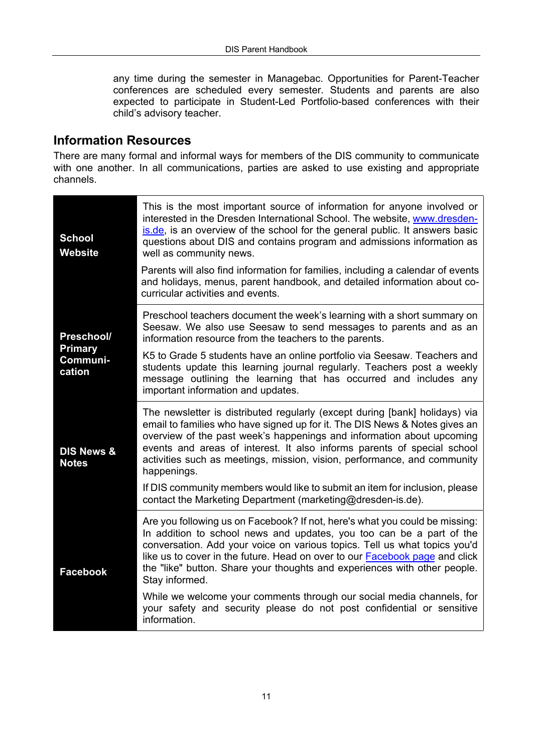any time during the semester in Managebac. Opportunities for Parent-Teacher conferences are scheduled every semester. Students and parents are also expected to participate in Student-Led Portfolio-based conferences with their child's advisory teacher.

#### **Information Resources**

There are many formal and informal ways for members of the DIS community to communicate with one another. In all communications, parties are asked to use existing and appropriate channels.

| <b>School</b><br>Website      | This is the most important source of information for anyone involved or<br>interested in the Dresden International School. The website, www.dresden-<br>is de, is an overview of the school for the general public. It answers basic<br>questions about DIS and contains program and admissions information as<br>well as community news.                                                                      |
|-------------------------------|----------------------------------------------------------------------------------------------------------------------------------------------------------------------------------------------------------------------------------------------------------------------------------------------------------------------------------------------------------------------------------------------------------------|
|                               | Parents will also find information for families, including a calendar of events<br>and holidays, menus, parent handbook, and detailed information about co-<br>curricular activities and events.                                                                                                                                                                                                               |
| Preschool/                    | Preschool teachers document the week's learning with a short summary on<br>Seesaw. We also use Seesaw to send messages to parents and as an<br>information resource from the teachers to the parents.                                                                                                                                                                                                          |
| Primary<br>Communi-<br>cation | K5 to Grade 5 students have an online portfolio via Seesaw. Teachers and<br>students update this learning journal regularly. Teachers post a weekly<br>message outlining the learning that has occurred and includes any<br>important information and updates.                                                                                                                                                 |
| DIS News &<br><b>Notes</b>    | The newsletter is distributed regularly (except during [bank] holidays) via<br>email to families who have signed up for it. The DIS News & Notes gives an<br>overview of the past week's happenings and information about upcoming<br>events and areas of interest. It also informs parents of special school<br>activities such as meetings, mission, vision, performance, and community<br>happenings.       |
|                               | If DIS community members would like to submit an item for inclusion, please<br>contact the Marketing Department (marketing@dresden-is.de).                                                                                                                                                                                                                                                                     |
| Facebook                      | Are you following us on Facebook? If not, here's what you could be missing:<br>In addition to school news and updates, you too can be a part of the<br>conversation. Add your voice on various topics. Tell us what topics you'd<br>like us to cover in the future. Head on over to our Facebook page and click<br>the "like" button. Share your thoughts and experiences with other people.<br>Stay informed. |
|                               | While we welcome your comments through our social media channels, for<br>your safety and security please do not post confidential or sensitive<br>information.                                                                                                                                                                                                                                                 |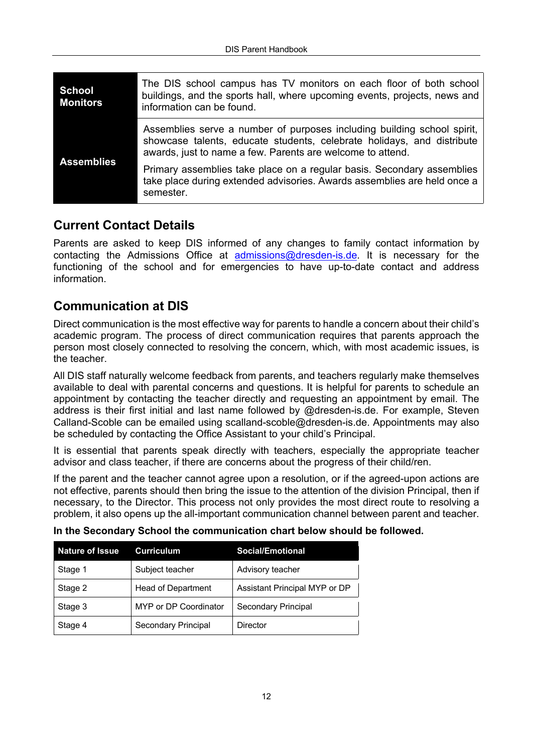| School<br><b>Monitors</b> | The DIS school campus has TV monitors on each floor of both school<br>buildings, and the sports hall, where upcoming events, projects, news and<br>information can be found.                                    |
|---------------------------|-----------------------------------------------------------------------------------------------------------------------------------------------------------------------------------------------------------------|
|                           | Assemblies serve a number of purposes including building school spirit,<br>showcase talents, educate students, celebrate holidays, and distribute<br>awards, just to name a few. Parents are welcome to attend. |
| <b>Assemblies</b>         | Primary assemblies take place on a regular basis. Secondary assemblies<br>take place during extended advisories. Awards assemblies are held once a<br>semester.                                                 |

### **Current Contact Details**

Parents are asked to keep DIS informed of any changes to family contact information by contacting the Admissions Office at admissions@dresden-is.de. It is necessary for the functioning of the school and for emergencies to have up-to-date contact and address information.

### **Communication at DIS**

Direct communication is the most effective way for parents to handle a concern about their child's academic program. The process of direct communication requires that parents approach the person most closely connected to resolving the concern, which, with most academic issues, is the teacher.

All DIS staff naturally welcome feedback from parents, and teachers regularly make themselves available to deal with parental concerns and questions. It is helpful for parents to schedule an appointment by contacting the teacher directly and requesting an appointment by email. The address is their first initial and last name followed by @dresden-is.de. For example, Steven Calland-Scoble can be emailed using scalland-scoble@dresden-is.de. Appointments may also be scheduled by contacting the Office Assistant to your child's Principal.

It is essential that parents speak directly with teachers, especially the appropriate teacher advisor and class teacher, if there are concerns about the progress of their child/ren.

If the parent and the teacher cannot agree upon a resolution, or if the agreed-upon actions are not effective, parents should then bring the issue to the attention of the division Principal, then if necessary, to the Director. This process not only provides the most direct route to resolving a problem, it also opens up the all-important communication channel between parent and teacher.

| <b>Nature of Issue</b> | Curriculum                | Social/Emotional              |
|------------------------|---------------------------|-------------------------------|
| Stage 1                | Subject teacher           | Advisory teacher              |
| Stage 2                | <b>Head of Department</b> | Assistant Principal MYP or DP |
| Stage 3                | MYP or DP Coordinator     | Secondary Principal           |
| Stage 4                | Secondary Principal       | Director                      |

**In the Secondary School the communication chart below should be followed.**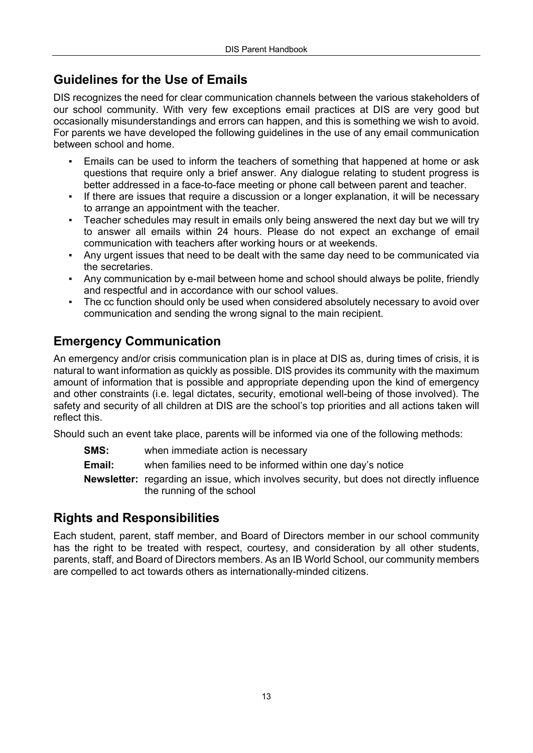# **Guidelines for the Use of Emails**

DIS recognizes the need for clear communication channels between the various stakeholders of our school community. With very few exceptions email practices at DIS are very good but occasionally misunderstandings and errors can happen, and this is something we wish to avoid. For parents we have developed the following guidelines in the use of any email communication between school and home.

- Emails can be used to inform the teachers of something that happened at home or ask questions that require only a brief answer. Any dialogue relating to student progress is better addressed in a face-to-face meeting or phone call between parent and teacher.
- If there are issues that require a discussion or a longer explanation, it will be necessary to arrange an appointment with the teacher.
- Teacher schedules may result in emails only being answered the next day but we will try to answer all emails within 24 hours. Please do not expect an exchange of email communication with teachers after working hours or at weekends.
- Any urgent issues that need to be dealt with the same day need to be communicated via the secretaries.
- Any communication by e-mail between home and school should always be polite, friendly and respectful and in accordance with our school values.
- The cc function should only be used when considered absolutely necessary to avoid over communication and sending the wrong signal to the main recipient.

# **Emergency Communication**

An emergency and/or crisis communication plan is in place at DIS as, during times of crisis, it is natural to want information as quickly as possible. DIS provides its community with the maximum amount of information that is possible and appropriate depending upon the kind of emergency and other constraints (i.e. legal dictates, security, emotional well-being of those involved). The safety and security of all children at DIS are the school's top priorities and all actions taken will reflect this.

Should such an event take place, parents will be informed via one of the following methods:

- **SMS:** when immediate action is necessary
- **Email:** when families need to be informed within one day's notice
- **Newsletter:** regarding an issue, which involves security, but does not directly influence the running of the school

### **Rights and Responsibilities**

Each student, parent, staff member, and Board of Directors member in our school community has the right to be treated with respect, courtesy, and consideration by all other students, parents, staff, and Board of Directors members. As an IB World School, our community members are compelled to act towards others as internationally-minded citizens.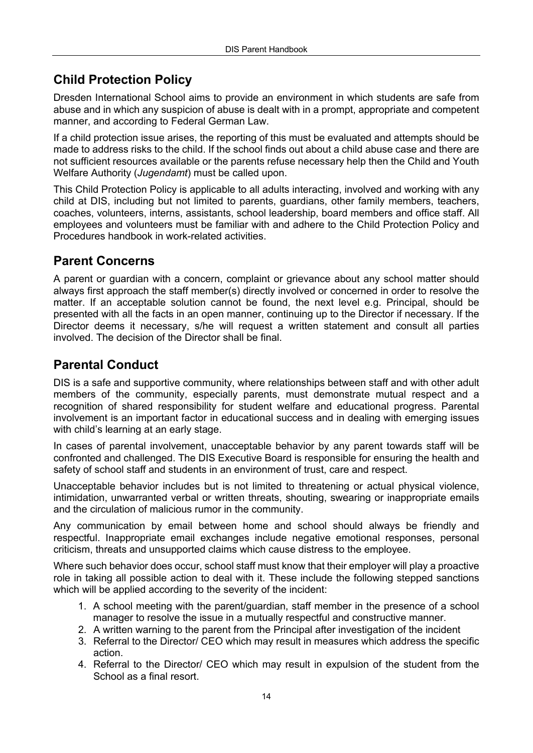# **Child Protection Policy**

Dresden International School aims to provide an environment in which students are safe from abuse and in which any suspicion of abuse is dealt with in a prompt, appropriate and competent manner, and according to Federal German Law.

If a child protection issue arises, the reporting of this must be evaluated and attempts should be made to address risks to the child. If the school finds out about a child abuse case and there are not sufficient resources available or the parents refuse necessary help then the Child and Youth Welfare Authority (*Jugendamt*) must be called upon.

This Child Protection Policy is applicable to all adults interacting, involved and working with any child at DIS, including but not limited to parents, guardians, other family members, teachers, coaches, volunteers, interns, assistants, school leadership, board members and office staff. All employees and volunteers must be familiar with and adhere to the Child Protection Policy and Procedures handbook in work-related activities.

### **Parent Concerns**

A parent or guardian with a concern, complaint or grievance about any school matter should always first approach the staff member(s) directly involved or concerned in order to resolve the matter. If an acceptable solution cannot be found, the next level e.g. Principal, should be presented with all the facts in an open manner, continuing up to the Director if necessary. If the Director deems it necessary, s/he will request a written statement and consult all parties involved. The decision of the Director shall be final.

# **Parental Conduct**

DIS is a safe and supportive community, where relationships between staff and with other adult members of the community, especially parents, must demonstrate mutual respect and a recognition of shared responsibility for student welfare and educational progress. Parental involvement is an important factor in educational success and in dealing with emerging issues with child's learning at an early stage.

In cases of parental involvement, unacceptable behavior by any parent towards staff will be confronted and challenged. The DIS Executive Board is responsible for ensuring the health and safety of school staff and students in an environment of trust, care and respect.

Unacceptable behavior includes but is not limited to threatening or actual physical violence, intimidation, unwarranted verbal or written threats, shouting, swearing or inappropriate emails and the circulation of malicious rumor in the community.

Any communication by email between home and school should always be friendly and respectful. Inappropriate email exchanges include negative emotional responses, personal criticism, threats and unsupported claims which cause distress to the employee.

Where such behavior does occur, school staff must know that their employer will play a proactive role in taking all possible action to deal with it. These include the following stepped sanctions which will be applied according to the severity of the incident:

- 1. A school meeting with the parent/guardian, staff member in the presence of a school manager to resolve the issue in a mutually respectful and constructive manner.
- 2. A written warning to the parent from the Principal after investigation of the incident
- 3. Referral to the Director/ CEO which may result in measures which address the specific action.
- 4. Referral to the Director/ CEO which may result in expulsion of the student from the School as a final resort.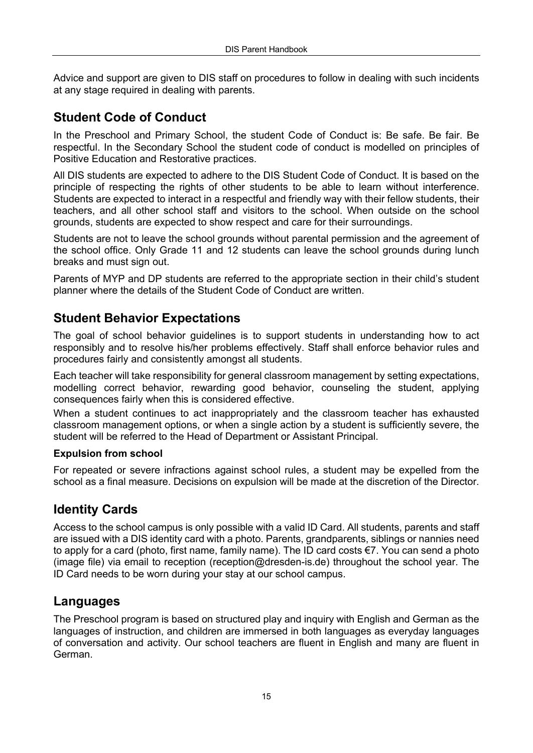Advice and support are given to DIS staff on procedures to follow in dealing with such incidents at any stage required in dealing with parents.

## **Student Code of Conduct**

In the Preschool and Primary School, the student Code of Conduct is: Be safe. Be fair. Be respectful. In the Secondary School the student code of conduct is modelled on principles of Positive Education and Restorative practices.

All DIS students are expected to adhere to the DIS Student Code of Conduct. It is based on the principle of respecting the rights of other students to be able to learn without interference. Students are expected to interact in a respectful and friendly way with their fellow students, their teachers, and all other school staff and visitors to the school. When outside on the school grounds, students are expected to show respect and care for their surroundings.

Students are not to leave the school grounds without parental permission and the agreement of the school office. Only Grade 11 and 12 students can leave the school grounds during lunch breaks and must sign out.

Parents of MYP and DP students are referred to the appropriate section in their child's student planner where the details of the Student Code of Conduct are written.

### **Student Behavior Expectations**

The goal of school behavior guidelines is to support students in understanding how to act responsibly and to resolve his/her problems effectively. Staff shall enforce behavior rules and procedures fairly and consistently amongst all students.

Each teacher will take responsibility for general classroom management by setting expectations, modelling correct behavior, rewarding good behavior, counseling the student, applying consequences fairly when this is considered effective.

When a student continues to act inappropriately and the classroom teacher has exhausted classroom management options, or when a single action by a student is sufficiently severe, the student will be referred to the Head of Department or Assistant Principal.

#### **Expulsion from school**

For repeated or severe infractions against school rules, a student may be expelled from the school as a final measure. Decisions on expulsion will be made at the discretion of the Director.

### **Identity Cards**

Access to the school campus is only possible with a valid ID Card. All students, parents and staff are issued with a DIS identity card with a photo. Parents, grandparents, siblings or nannies need to apply for a card (photo, first name, family name). The ID card costs €7. You can send a photo (image file) via email to reception (reception@dresden-is.de) throughout the school year. The ID Card needs to be worn during your stay at our school campus.

#### **Languages**

The Preschool program is based on structured play and inquiry with English and German as the languages of instruction, and children are immersed in both languages as everyday languages of conversation and activity. Our school teachers are fluent in English and many are fluent in German.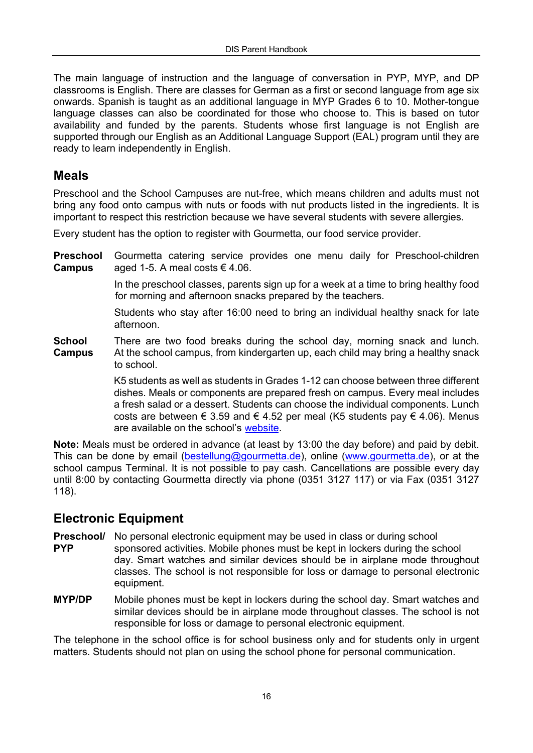The main language of instruction and the language of conversation in PYP, MYP, and DP classrooms is English. There are classes for German as a first or second language from age six onwards. Spanish is taught as an additional language in MYP Grades 6 to 10. Mother-tongue language classes can also be coordinated for those who choose to. This is based on tutor availability and funded by the parents. Students whose first language is not English are supported through our English as an Additional Language Support (EAL) program until they are ready to learn independently in English.

#### **Meals**

Preschool and the School Campuses are nut-free, which means children and adults must not bring any food onto campus with nuts or foods with nut products listed in the ingredients. It is important to respect this restriction because we have several students with severe allergies.

Every student has the option to register with Gourmetta, our food service provider.

**Preschool** Gourmetta catering service provides one menu daily for Preschool-children **Campus** aged 1-5. A meal costs  $\in$  4.06.

> In the preschool classes, parents sign up for a week at a time to bring healthy food for morning and afternoon snacks prepared by the teachers.

> Students who stay after 16:00 need to bring an individual healthy snack for late afternoon.

**School** There are two food breaks during the school day, morning snack and lunch. **Campus** At the school campus, from kindergarten up, each child may bring a healthy snack to school.

> K5 students as well as students in Grades 1-12 can choose between three different dishes. Meals or components are prepared fresh on campus. Every meal includes a fresh salad or a dessert. Students can choose the individual components. Lunch costs are between  $\epsilon$  3.59 and  $\epsilon$  4.52 per meal (K5 students pay  $\epsilon$  4.06). Menus are available on the school's [website](https://www.dresden-is.de/en/learn/primary-school/lunch).

**Note:** Meals must be ordered in advance (at least by 13:00 the day before) and paid by debit. This can be done by email (bestellung@gourmetta.de), online (www.gourmetta.de), or at the school campus Terminal. It is not possible to pay cash. Cancellations are possible every day until 8:00 by contacting Gourmetta directly via phone (0351 3127 117) or via Fax (0351 3127 118).

#### **Electronic Equipment**

**Preschool/** No personal electronic equipment may be used in class or during school

- **PYP** sponsored activities. Mobile phones must be kept in lockers during the school day. Smart watches and similar devices should be in airplane mode throughout classes. The school is not responsible for loss or damage to personal electronic equipment.
- **MYP/DP** Mobile phones must be kept in lockers during the school day. Smart watches and similar devices should be in airplane mode throughout classes. The school is not responsible for loss or damage to personal electronic equipment.

The telephone in the school office is for school business only and for students only in urgent matters. Students should not plan on using the school phone for personal communication.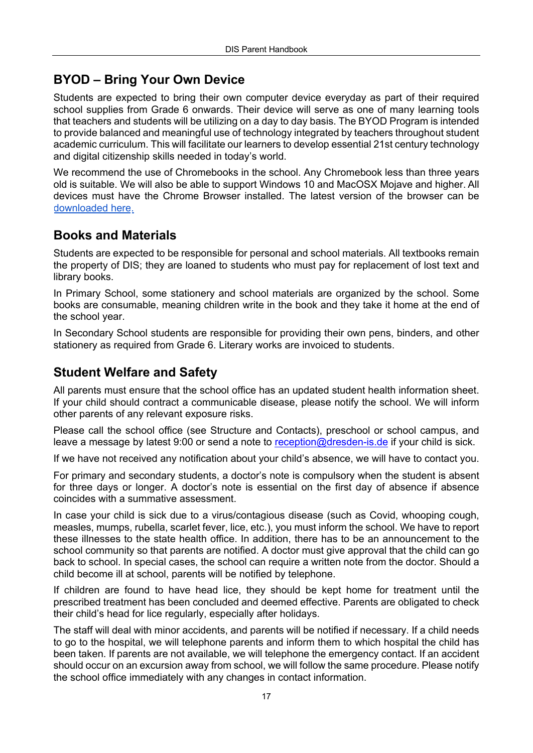## **BYOD – Bring Your Own Device**

Students are expected to bring their own computer device everyday as part of their required school supplies from Grade 6 onwards. Their device will serve as one of many learning tools that teachers and students will be utilizing on a day to day basis. The BYOD Program is intended to provide balanced and meaningful use of technology integrated by teachers throughout student academic curriculum. This will facilitate our learners to develop essential 21st century technology and digital citizenship skills needed in today's world.

We recommend the use of Chromebooks in the school. Any Chromebook less than three years old is suitable. We will also be able to support Windows 10 and MacOSX Mojave and higher. All devices must have the Chrome Browser installed. The latest version of the browser can be [downloaded here.](https://www.google.com/chrome/)

#### **Books and Materials**

Students are expected to be responsible for personal and school materials. All textbooks remain the property of DIS; they are loaned to students who must pay for replacement of lost text and library books.

In Primary School, some stationery and school materials are organized by the school. Some books are consumable, meaning children write in the book and they take it home at the end of the school year.

In Secondary School students are responsible for providing their own pens, binders, and other stationery as required from Grade 6. Literary works are invoiced to students.

### **Student Welfare and Safety**

All parents must ensure that the school office has an updated student health information sheet. If your child should contract a communicable disease, please notify the school. We will inform other parents of any relevant exposure risks.

Please call the school office (see Structure and Contacts), preschool or school campus, and leave a message by latest 9:00 or send a note to reception@dresden-is.de if your child is sick.

If we have not received any notification about your child's absence, we will have to contact you.

For primary and secondary students, a doctor's note is compulsory when the student is absent for three days or longer. A doctor's note is essential on the first day of absence if absence coincides with a summative assessment.

In case your child is sick due to a virus/contagious disease (such as Covid, whooping cough, measles, mumps, rubella, scarlet fever, lice, etc.), you must inform the school. We have to report these illnesses to the state health office. In addition, there has to be an announcement to the school community so that parents are notified. A doctor must give approval that the child can go back to school. In special cases, the school can require a written note from the doctor. Should a child become ill at school, parents will be notified by telephone.

If children are found to have head lice, they should be kept home for treatment until the prescribed treatment has been concluded and deemed effective. Parents are obligated to check their child's head for lice regularly, especially after holidays.

The staff will deal with minor accidents, and parents will be notified if necessary. If a child needs to go to the hospital, we will telephone parents and inform them to which hospital the child has been taken. If parents are not available, we will telephone the emergency contact. If an accident should occur on an excursion away from school, we will follow the same procedure. Please notify the school office immediately with any changes in contact information.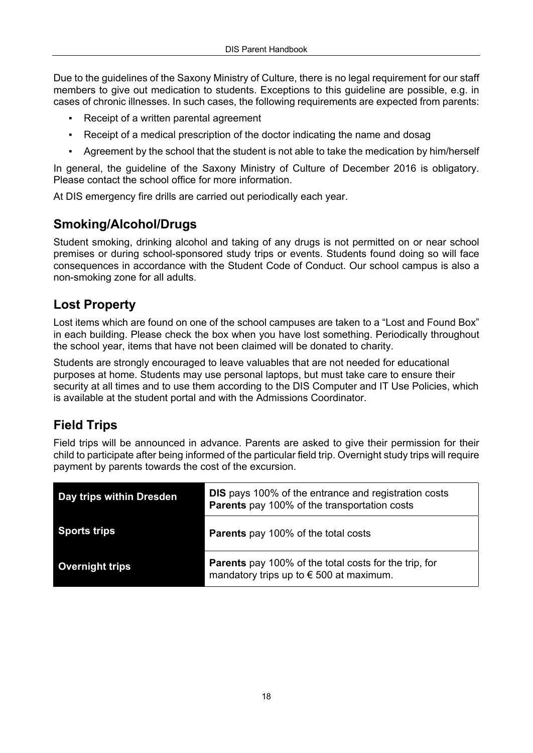Due to the guidelines of the Saxony Ministry of Culture, there is no legal requirement for our staff members to give out medication to students. Exceptions to this guideline are possible, e.g. in cases of chronic illnesses. In such cases, the following requirements are expected from parents:

- Receipt of a written parental agreement
- Receipt of a medical prescription of the doctor indicating the name and dosag
- Agreement by the school that the student is not able to take the medication by him/herself

In general, the guideline of the Saxony Ministry of Culture of December 2016 is obligatory. Please contact the school office for more information.

At DIS emergency fire drills are carried out periodically each year.

### **Smoking/Alcohol/Drugs**

Student smoking, drinking alcohol and taking of any drugs is not permitted on or near school premises or during school-sponsored study trips or events. Students found doing so will face consequences in accordance with the Student Code of Conduct. Our school campus is also a non-smoking zone for all adults.

### **Lost Property**

Lost items which are found on one of the school campuses are taken to a "Lost and Found Box" in each building. Please check the box when you have lost something. Periodically throughout the school year, items that have not been claimed will be donated to charity.

Students are strongly encouraged to leave valuables that are not needed for educational purposes at home. Students may use personal laptops, but must take care to ensure their security at all times and to use them according to the DIS Computer and IT Use Policies, which is available at the student portal and with the Admissions Coordinator.

# **Field Trips**

Field trips will be announced in advance. Parents are asked to give their permission for their child to participate after being informed of the particular field trip. Overnight study trips will require payment by parents towards the cost of the excursion.

| Day trips within Dresden | <b>DIS</b> pays 100% of the entrance and registration costs<br><b>Parents</b> pay 100% of the transportation costs |
|--------------------------|--------------------------------------------------------------------------------------------------------------------|
| <b>Sports trips</b>      | <b>Parents</b> pay 100% of the total costs                                                                         |
| <b>Overnight trips</b>   | <b>Parents</b> pay 100% of the total costs for the trip, for<br>mandatory trips up to $\epsilon$ 500 at maximum.   |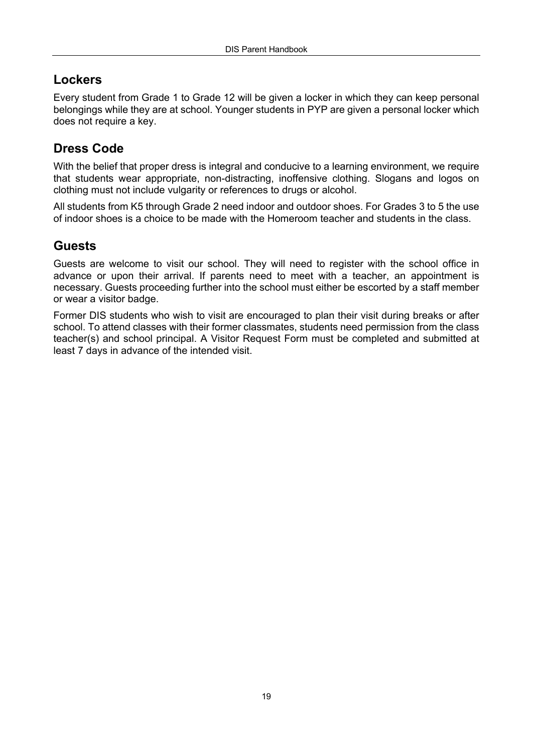### **Lockers**

Every student from Grade 1 to Grade 12 will be given a locker in which they can keep personal belongings while they are at school. Younger students in PYP are given a personal locker which does not require a key.

### **Dress Code**

With the belief that proper dress is integral and conducive to a learning environment, we require that students wear appropriate, non-distracting, inoffensive clothing. Slogans and logos on clothing must not include vulgarity or references to drugs or alcohol.

All students from K5 through Grade 2 need indoor and outdoor shoes. For Grades 3 to 5 the use of indoor shoes is a choice to be made with the Homeroom teacher and students in the class.

### **Guests**

Guests are welcome to visit our school. They will need to register with the school office in advance or upon their arrival. If parents need to meet with a teacher, an appointment is necessary. Guests proceeding further into the school must either be escorted by a staff member or wear a visitor badge.

Former DIS students who wish to visit are encouraged to plan their visit during breaks or after school. To attend classes with their former classmates, students need permission from the class teacher(s) and school principal. A Visitor Request Form must be completed and submitted at least 7 days in advance of the intended visit.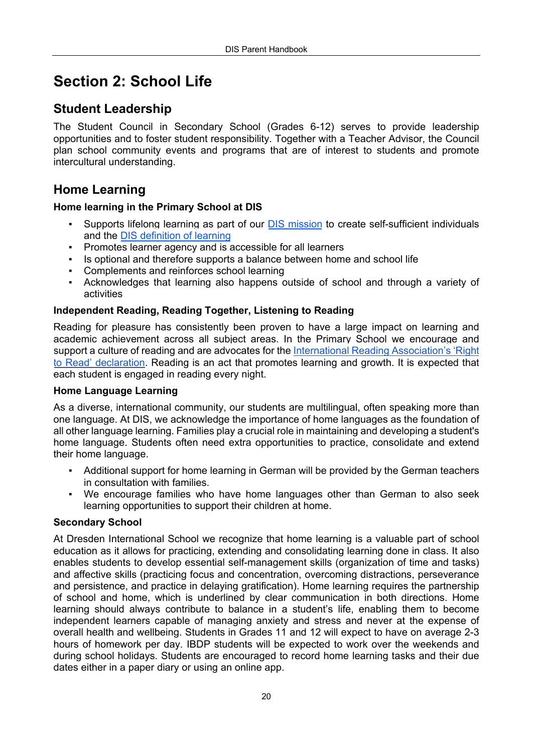# **Section 2: School Life**

### **Student Leadership**

The Student Council in Secondary School (Grades 6-12) serves to provide leadership opportunities and to foster student responsibility. Together with a Teacher Advisor, the Council plan school community events and programs that are of interest to students and promote intercultural understanding.

### **Home Learning**

#### **Home learning in the Primary School at DIS**

- Supports lifelong learning as part of our **[DIS mission](https://www.dresden-is.de/en/discover/vision-and-mission)** to create self-sufficient individuals and the [DIS definition of learning](https://www.dresden-is.de/en/discover/vision-and-mission)
- Promotes learner agency and is accessible for all learners
- Is optional and therefore supports a balance between home and school life
- Complements and reinforces school learning
- Acknowledges that learning also happens outside of school and through a variety of activities

#### **Independent Reading, Reading Together, Listening to Reading**

Reading for pleasure has consistently been proven to have a large impact on learning and academic achievement across all subject areas. In the Primary School we encourage and [support a culture of reading and are advocates for the International Reading Association's 'Right](https://www.literacyworldwide.org/docs/default-source/resource-documents/the-case-for-childrens-rights-to-read.pdf)  to Read' declaration. Reading is an act that promotes learning and growth. It is expected that each student is engaged in reading every night.

#### **Home Language Learning**

As a diverse, international community, our students are multilingual, often speaking more than one language. At DIS, we acknowledge the importance of home languages as the foundation of all other language learning. Families play a crucial role in maintaining and developing a student's home language. Students often need extra opportunities to practice, consolidate and extend their home language.

- Additional support for home learning in German will be provided by the German teachers in consultation with families.
- We encourage families who have home languages other than German to also seek learning opportunities to support their children at home.

#### **Secondary School**

At Dresden International School we recognize that home learning is a valuable part of school education as it allows for practicing, extending and consolidating learning done in class. It also enables students to develop essential self-management skills (organization of time and tasks) and affective skills (practicing focus and concentration, overcoming distractions, perseverance and persistence, and practice in delaying gratification). Home learning requires the partnership of school and home, which is underlined by clear communication in both directions. Home learning should always contribute to balance in a student's life, enabling them to become independent learners capable of managing anxiety and stress and never at the expense of overall health and wellbeing. Students in Grades 11 and 12 will expect to have on average 2-3 hours of homework per day. IBDP students will be expected to work over the weekends and during school holidays. Students are encouraged to record home learning tasks and their due dates either in a paper diary or using an online app.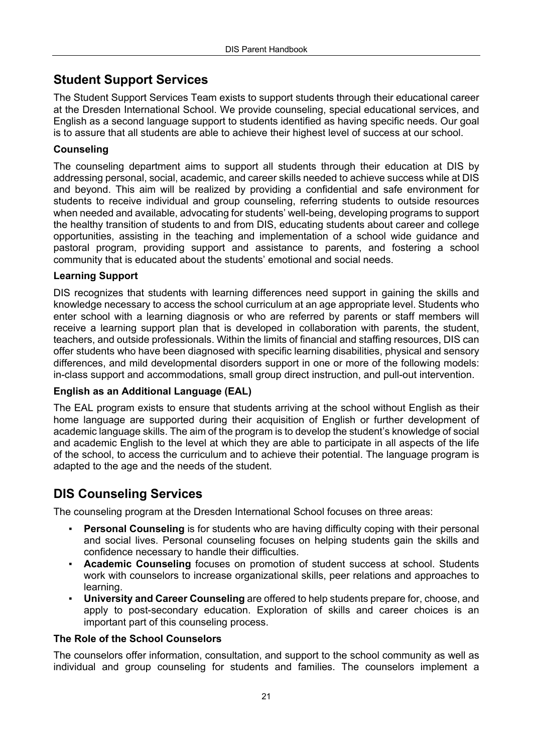## **Student Support Services**

The Student Support Services Team exists to support students through their educational career at the Dresden International School. We provide counseling, special educational services, and English as a second language support to students identified as having specific needs. Our goal is to assure that all students are able to achieve their highest level of success at our school.

#### **Counseling**

The counseling department aims to support all students through their education at DIS by addressing personal, social, academic, and career skills needed to achieve success while at DIS and beyond. This aim will be realized by providing a confidential and safe environment for students to receive individual and group counseling, referring students to outside resources when needed and available, advocating for students' well-being, developing programs to support the healthy transition of students to and from DIS, educating students about career and college opportunities, assisting in the teaching and implementation of a school wide guidance and pastoral program, providing support and assistance to parents, and fostering a school community that is educated about the students' emotional and social needs.

#### **Learning Support**

DIS recognizes that students with learning differences need support in gaining the skills and knowledge necessary to access the school curriculum at an age appropriate level. Students who enter school with a learning diagnosis or who are referred by parents or staff members will receive a learning support plan that is developed in collaboration with parents, the student, teachers, and outside professionals. Within the limits of financial and staffing resources, DIS can offer students who have been diagnosed with specific learning disabilities, physical and sensory differences, and mild developmental disorders support in one or more of the following models: in-class support and accommodations, small group direct instruction, and pull-out intervention.

#### **English as an Additional Language (EAL)**

The EAL program exists to ensure that students arriving at the school without English as their home language are supported during their acquisition of English or further development of academic language skills. The aim of the program is to develop the student's knowledge of social and academic English to the level at which they are able to participate in all aspects of the life of the school, to access the curriculum and to achieve their potential. The language program is adapted to the age and the needs of the student.

### **DIS Counseling Services**

The counseling program at the Dresden International School focuses on three areas:

- **Personal Counseling** is for students who are having difficulty coping with their personal and social lives. Personal counseling focuses on helping students gain the skills and confidence necessary to handle their difficulties.
- **Academic Counseling** focuses on promotion of student success at school. Students work with counselors to increase organizational skills, peer relations and approaches to learning.
- **University and Career Counseling** are offered to help students prepare for, choose, and apply to post-secondary education. Exploration of skills and career choices is an important part of this counseling process.

#### **The Role of the School Counselors**

The counselors offer information, consultation, and support to the school community as well as individual and group counseling for students and families. The counselors implement a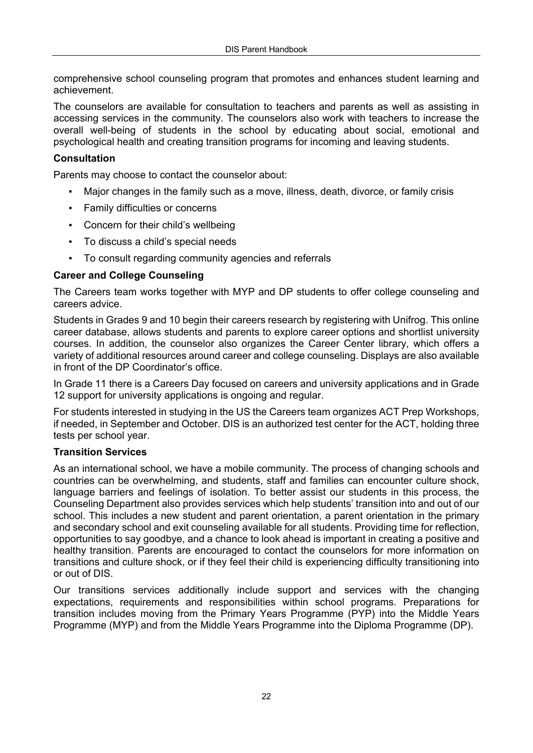comprehensive school counseling program that promotes and enhances student learning and achievement.

The counselors are available for consultation to teachers and parents as well as assisting in accessing services in the community. The counselors also work with teachers to increase the overall well-being of students in the school by educating about social, emotional and psychological health and creating transition programs for incoming and leaving students.

#### **Consultation**

Parents may choose to contact the counselor about:

- Major changes in the family such as a move, illness, death, divorce, or family crisis
- Family difficulties or concerns
- Concern for their child's wellbeing
- To discuss a child's special needs
- To consult regarding community agencies and referrals

#### **Career and College Counseling**

The Careers team works together with MYP and DP students to offer college counseling and careers advice.

Students in Grades 9 and 10 begin their careers research by registering with Unifrog. This online career database, allows students and parents to explore career options and shortlist university courses. In addition, the counselor also organizes the Career Center library, which offers a variety of additional resources around career and college counseling. Displays are also available in front of the DP Coordinator's office.

In Grade 11 there is a Careers Day focused on careers and university applications and in Grade 12 support for university applications is ongoing and regular.

For students interested in studying in the US the Careers team organizes ACT Prep Workshops, if needed, in September and October. DIS is an authorized test center for the ACT, holding three tests per school year.

#### **Transition Services**

As an international school, we have a mobile community. The process of changing schools and countries can be overwhelming, and students, staff and families can encounter culture shock, language barriers and feelings of isolation. To better assist our students in this process, the Counseling Department also provides services which help students' transition into and out of our school. This includes a new student and parent orientation, a parent orientation in the primary and secondary school and exit counseling available for all students. Providing time for reflection, opportunities to say goodbye, and a chance to look ahead is important in creating a positive and healthy transition. Parents are encouraged to contact the counselors for more information on transitions and culture shock, or if they feel their child is experiencing difficulty transitioning into or out of DIS.

Our transitions services additionally include support and services with the changing expectations, requirements and responsibilities within school programs. Preparations for transition includes moving from the Primary Years Programme (PYP) into the Middle Years Programme (MYP) and from the Middle Years Programme into the Diploma Programme (DP).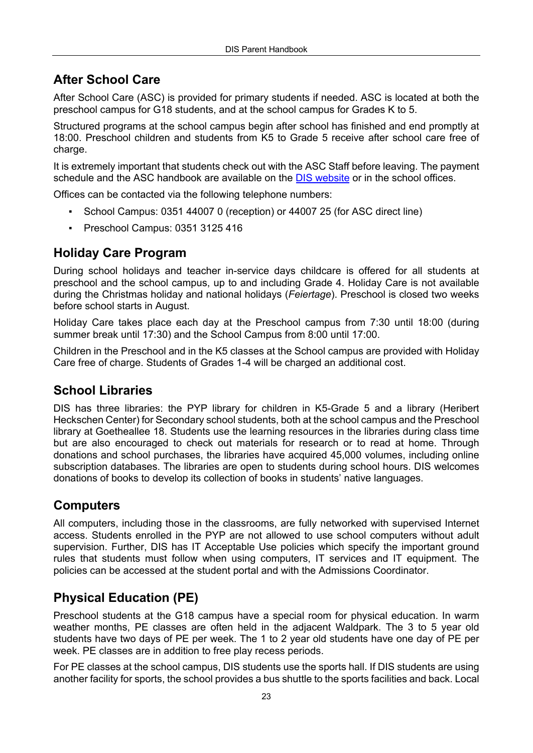# **After School Care**

After School Care (ASC) is provided for primary students if needed. ASC is located at both the preschool campus for G18 students, and at the school campus for Grades K to 5.

Structured programs at the school campus begin after school has finished and end promptly at 18:00. Preschool children and students from K5 to Grade 5 receive after school care free of charge.

It is extremely important that students check out with the ASC Staff before leaving. The payment schedule and the ASC handbook are available on the [DIS website](https://www.dresden-is.de/en/learn/primary-school/after-school-care) or in the school offices.

Offices can be contacted via the following telephone numbers:

- School Campus: 0351 44007 0 (reception) or 44007 25 (for ASC direct line)
- Preschool Campus: 0351 3125 416

#### **Holiday Care Program**

During school holidays and teacher in-service days childcare is offered for all students at preschool and the school campus, up to and including Grade 4. Holiday Care is not available during the Christmas holiday and national holidays (*Feiertage*). Preschool is closed two weeks before school starts in August.

Holiday Care takes place each day at the Preschool campus from 7:30 until 18:00 (during summer break until 17:30) and the School Campus from 8:00 until 17:00.

Children in the Preschool and in the K5 classes at the School campus are provided with Holiday Care free of charge. Students of Grades 1-4 will be charged an additional cost.

#### **School Libraries**

DIS has three libraries: the PYP library for children in K5-Grade 5 and a library (Heribert Heckschen Center) for Secondary school students, both at the school campus and the Preschool library at Goetheallee 18. Students use the learning resources in the libraries during class time but are also encouraged to check out materials for research or to read at home. Through donations and school purchases, the libraries have acquired 45,000 volumes, including online subscription databases. The libraries are open to students during school hours. DIS welcomes donations of books to develop its collection of books in students' native languages.

### **Computers**

All computers, including those in the classrooms, are fully networked with supervised Internet access. Students enrolled in the PYP are not allowed to use school computers without adult supervision. Further, DIS has IT Acceptable Use policies which specify the important ground rules that students must follow when using computers, IT services and IT equipment. The policies can be accessed at the student portal and with the Admissions Coordinator.

### **Physical Education (PE)**

Preschool students at the G18 campus have a special room for physical education. In warm weather months, PE classes are often held in the adjacent Waldpark. The 3 to 5 year old students have two days of PE per week. The 1 to 2 year old students have one day of PE per week. PE classes are in addition to free play recess periods.

For PE classes at the school campus, DIS students use the sports hall. If DIS students are using another facility for sports, the school provides a bus shuttle to the sports facilities and back. Local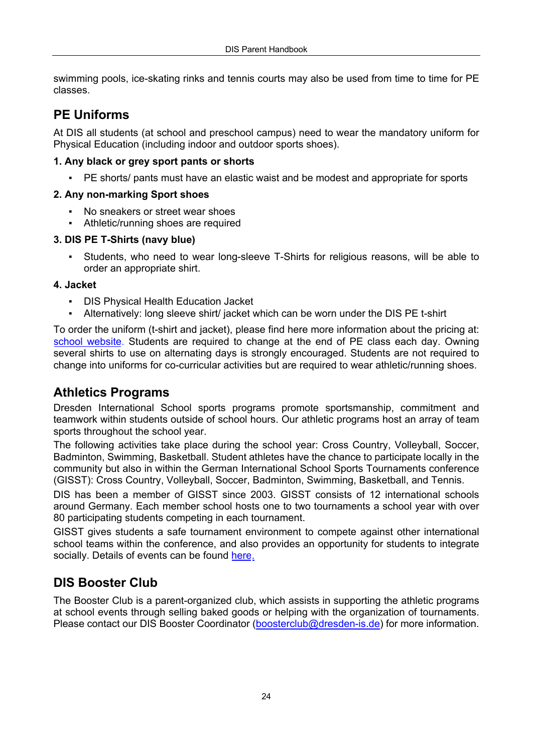swimming pools, ice-skating rinks and tennis courts may also be used from time to time for PE classes.

### **PE Uniforms**

At DIS all students (at school and preschool campus) need to wear the mandatory uniform for Physical Education (including indoor and outdoor sports shoes).

#### **1. Any black or grey sport pants or shorts**

PE shorts/ pants must have an elastic waist and be modest and appropriate for sports

#### **2. Any non-marking Sport shoes**

- No sneakers or street wear shoes
- Athletic/running shoes are required

#### **3. DIS PE T-Shirts (navy blue)**

Students, who need to wear long-sleeve T-Shirts for religious reasons, will be able to order an appropriate shirt.

#### **4. Jacket**

- **DIS Physical Health Education Jacket**
- Alternatively: long sleeve shirt/ jacket which can be worn under the DIS PE t-shirt

To order the uniform (t-shirt and jacket), please find here more information about the pricing at: [school website](https://www.dresden-is.de/en/learn/secondary-school/sports). Students are required to change at the end of PE class each day. Owning several shirts to use on alternating days is strongly encouraged. Students are not required to change into uniforms for co-curricular activities but are required to wear athletic/running shoes.

#### **Athletics Programs**

Dresden International School sports programs promote sportsmanship, commitment and teamwork within students outside of school hours. Our athletic programs host an array of team sports throughout the school year.

The following activities take place during the school year: Cross Country, Volleyball, Soccer, Badminton, Swimming, Basketball. Student athletes have the chance to participate locally in the community but also in within the German International School Sports Tournaments conference (GISST): Cross Country, Volleyball, Soccer, Badminton, Swimming, Basketball, and Tennis.

DIS has been a member of GISST since 2003. GISST consists of 12 international schools around Germany. Each member school hosts one to two tournaments a school year with over 80 participating students competing in each tournament.

GISST gives students a safe tournament environment to compete against other international school teams within the conference, and also provides an opportunity for students to integrate socially. Details of events can be found [here.](https://www.gisst.de/)

### **DIS Booster Club**

The Booster Club is a parent-organized club, which assists in supporting the athletic programs at school events through selling baked goods or helping with the organization of tournaments. Please contact our DIS Booster Coordinator (boosterclub@dresden-is.de) for more information.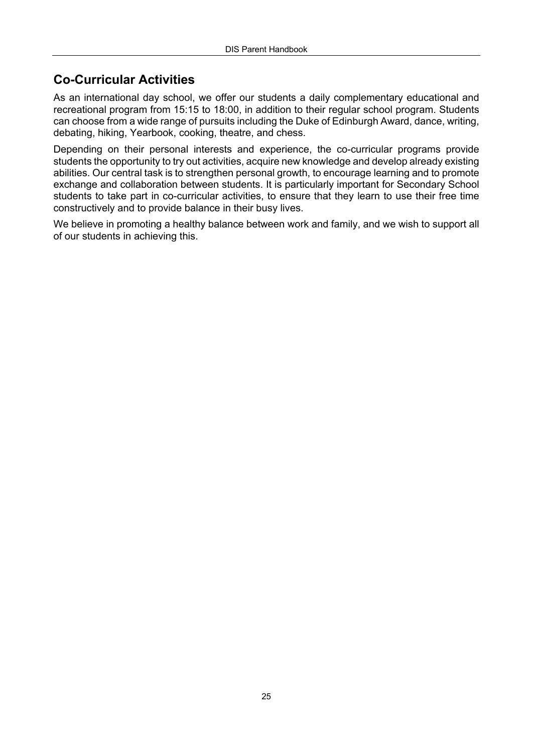# **Co-Curricular Activities**

As an international day school, we offer our students a daily complementary educational and recreational program from 15:15 to 18:00, in addition to their regular school program. Students can choose from a wide range of pursuits including the Duke of Edinburgh Award, dance, writing, debating, hiking, Yearbook, cooking, theatre, and chess.

Depending on their personal interests and experience, the co-curricular programs provide students the opportunity to try out activities, acquire new knowledge and develop already existing abilities. Our central task is to strengthen personal growth, to encourage learning and to promote exchange and collaboration between students. It is particularly important for Secondary School students to take part in co-curricular activities, to ensure that they learn to use their free time constructively and to provide balance in their busy lives.

We believe in promoting a healthy balance between work and family, and we wish to support all of our students in achieving this.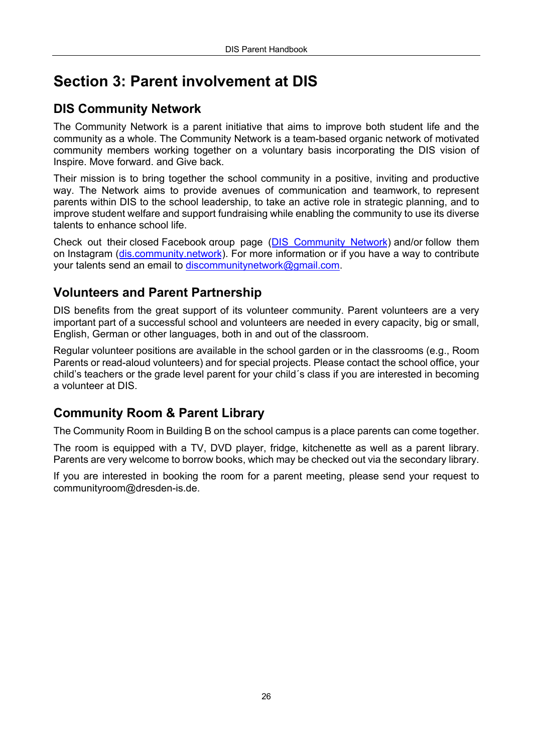# **Section 3: Parent involvement at DIS**

# **DIS Community Network**

The Community Network is a parent initiative that aims to improve both student life and the community as a whole. The Community Network is a team-based organic network of motivated community members working together on a voluntary basis incorporating the DIS vision of Inspire. Move forward. and Give back.

Their mission is to bring together the school community in a positive, inviting and productive way. The Network aims to provide avenues of communication and teamwork, to represent parents within DIS to the school leadership, to take an active role in strategic planning, and to improve student welfare and support fundraising while enabling the community to use its diverse talents to enhance school life.

Check out their closed Facebook group page ([DIS Community Network](https://www.facebook.com/groups/1665021717102601)) and/or follow them on Instagram [\(dis.community.network\)](https://www.instagram.com/dis.community.network/?utm_medium=copy_link). For more information or if you have a way to contribute your talents send an email to discommunitynetwork@gmail.com.

# **Volunteers and Parent Partnership**

DIS benefits from the great support of its volunteer community. Parent volunteers are a very important part of a successful school and volunteers are needed in every capacity, big or small, English, German or other languages, both in and out of the classroom.

Regular volunteer positions are available in the school garden or in the classrooms (e.g., Room Parents or read-aloud volunteers) and for special projects. Please contact the school office, your child's teachers or the grade level parent for your child´s class if you are interested in becoming a volunteer at DIS.

### **Community Room & Parent Library**

The Community Room in Building B on the school campus is a place parents can come together.

The room is equipped with a TV, DVD player, fridge, kitchenette as well as a parent library. Parents are very welcome to borrow books, which may be checked out via the secondary library.

If you are interested in booking the room for a parent meeting, please send your request to communityroom@dresden-is.de.